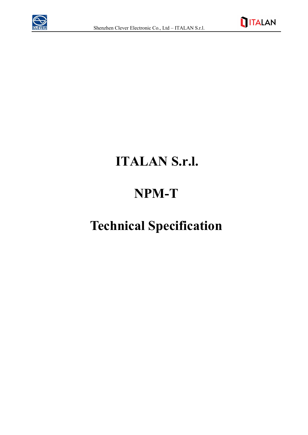



## **ITALAN S.r.l.**

## **NPM-T**

## **Technical Specification**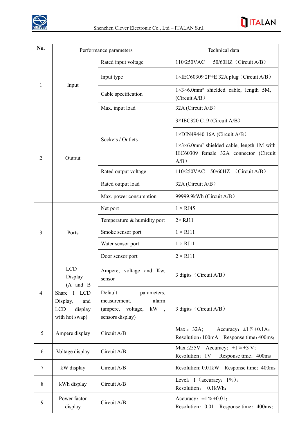

| No. | Performance parameters                                                                                                     |                                                                                              | Technical data                                                                                                          |
|-----|----------------------------------------------------------------------------------------------------------------------------|----------------------------------------------------------------------------------------------|-------------------------------------------------------------------------------------------------------------------------|
| 1   | Input                                                                                                                      | Rated input voltage                                                                          | 110/250VAC<br>$50/60$ HZ (Circuit A/B)                                                                                  |
|     |                                                                                                                            | Input type                                                                                   | $1 \times \text{IEC60309}$ 2P+E 32A plug (Circuit A/B)                                                                  |
|     |                                                                                                                            | Cable specification                                                                          | $1\times3\times6.0$ mm <sup>2</sup> shielded cable, length 5M,<br>(Circuit $A/B$ )                                      |
|     |                                                                                                                            | Max. input load                                                                              | 32A (Circuit A/B)                                                                                                       |
| 2   | Output                                                                                                                     | Sockets / Outlets                                                                            | 3×IEC320 C19 (Circuit A/B)                                                                                              |
|     |                                                                                                                            |                                                                                              | $1 \times$ DIN49440 16A (Circuit A/B)                                                                                   |
|     |                                                                                                                            |                                                                                              | $1\times3\times6.0$ mm <sup>2</sup> shielded cable, length 1M with<br>IEC60309 female 32A connector (Circuit<br>$A/B$ ) |
|     |                                                                                                                            | Rated output voltage                                                                         | 110/250VAC 50/60HZ<br>(Circuit $A/B$ )                                                                                  |
|     |                                                                                                                            | Rated output load                                                                            | $32A$ (Circuit A/B)                                                                                                     |
|     |                                                                                                                            | Max. power consumption                                                                       | 99999.9kWh (Circuit A/B)                                                                                                |
|     | Ports                                                                                                                      | Net port                                                                                     | $1 \times RJ45$                                                                                                         |
| 3   |                                                                                                                            | Temperature & humidity port                                                                  | $2 \times RJ11$                                                                                                         |
|     |                                                                                                                            | Smoke sensor port                                                                            | $1 \times RJ11$                                                                                                         |
|     |                                                                                                                            | Water sensor port                                                                            | $1 \times RJ11$                                                                                                         |
|     |                                                                                                                            | Door sensor port                                                                             | $2 \times RJ11$                                                                                                         |
| 4   | <b>LCD</b><br>Display<br>$(A \text{ and } B)$<br>Share 1 LCD<br>Display,<br>and<br><b>LCD</b><br>display<br>with hot swap) | Ampere, voltage and Kw,<br>sensor                                                            | 3 digits (Circuit A/B)                                                                                                  |
|     |                                                                                                                            | Default<br>parameters,<br>alarm<br>measurement,<br>(ampere, voltage, kW,<br>sensors display) | 3 digits (Circuit A/B)                                                                                                  |
| 5   | Ampere display                                                                                                             | Circuit A/B                                                                                  | Accuracy: $\pm 1\% + 0.1$ A;<br>Max.: 32A;<br>Resolution: 100mA Response time: 400ms;                                   |
| 6   | Voltage display                                                                                                            | Circuit A/B                                                                                  | Max.:255V Accuracy: $\pm 1\% + 3\text{ V}$ ;<br>Resolution: 1V<br>Response time: 400ms                                  |
| 7   | kW display                                                                                                                 | Circuit A/B                                                                                  | Resolution: 0.01kW<br>Response time: 400ms                                                                              |
| 8   | kWh display                                                                                                                | Circuit A/B                                                                                  | Level: $1$ (accuracy: $1\frac{9}{6}$ );<br>Resolution:<br>$0.1$ <sub>k</sub> Wh;                                        |
| 9   | Power factor<br>display                                                                                                    | Circuit A/B                                                                                  | Accuracy: $\pm 1\% + 0.01$ ;<br>Resolution: 0.01 Response time: 400ms;                                                  |